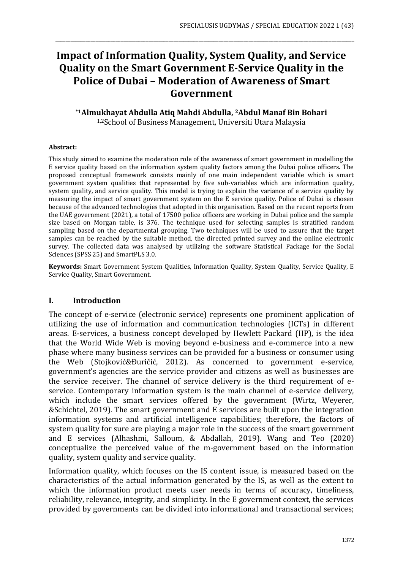# **Impact of Information Quality, System Quality, and Service Quality on the Smart Government E-Service Quality in the Police of Dubai – Moderation of Awareness of Smart Government**

\_\_\_\_\_\_\_\_\_\_\_\_\_\_\_\_\_\_\_\_\_\_\_\_\_\_\_\_\_\_\_\_\_\_\_\_\_\_\_\_\_\_\_\_\_\_\_\_\_\_\_\_\_\_\_\_\_\_\_\_\_\_\_\_\_\_\_\_\_\_\_\_\_\_\_\_\_\_\_\_\_\_\_\_\_\_\_\_\_\_\_\_\_\_\_\_\_\_\_\_\_\_\_\_\_\_\_\_\_\_\_\_\_\_\_\_\_\_\_

## **\*1Almukhayat Abdulla Atiq Mahdi Abdulla, 2Abdul Manaf Bin Bohari** 1,2School of Business Management, Universiti Utara Malaysia

#### **Abstract:**

This study aimed to examine the moderation role of the awareness of smart government in modelling the E service quality based on the information system quality factors among the Dubai police officers. The proposed conceptual framework consists mainly of one main independent variable which is smart government system qualities that represented by five sub-variables which are information quality, system quality, and service quality. This model is trying to explain the variance of e service quality by measuring the impact of smart government system on the E service quality. Police of Dubai is chosen because of the advanced technologies that adopted in this organisation. Based on the recent reports from the UAE government (2021), a total of 17500 police officers are working in Dubai police and the sample size based on Morgan table, is 376. The technique used for selecting samples is stratified random sampling based on the departmental grouping. Two techniques will be used to assure that the target samples can be reached by the suitable method, the directed printed survey and the online electronic survey. The collected data was analysed by utilizing the software Statistical Package for the Social Sciences (SPSS 25) and SmartPLS 3.0.

**Keywords:** Smart Government System Qualities, Information Quality, System Quality, Service Quality, E Service Quality, Smart Government.

#### **I. Introduction**

The concept of e-service (electronic service) represents one prominent application of utilizing the use of information and communication technologies (ICTs) in different areas. E-services, a business concept developed by Hewlett Packard (HP), is the idea that the World Wide Web is moving beyond e-business and e-commerce into a new phase where many business services can be provided for a business or consumer using the Web (Stojković&Đuričić, 2012). As concerned to government e-service, government's agencies are the service provider and citizens as well as businesses are the service receiver. The channel of service delivery is the third requirement of eservice. Contemporary information system is the main channel of e-service delivery, which include the smart services offered by the government (Wirtz, Weyerer, &Schichtel, 2019). The smart government and E services are built upon the integration information systems and artificial intelligence capabilities; therefore, the factors of system quality for sure are playing a major role in the success of the smart government and E services (Alhashmi, Salloum, & Abdallah, 2019). Wang and Teo (2020) conceptualize the perceived value of the m-government based on the information quality, system quality and service quality.

Information quality, which focuses on the IS content issue, is measured based on the characteristics of the actual information generated by the IS, as well as the extent to which the information product meets user needs in terms of accuracy, timeliness, reliability, relevance, integrity, and simplicity. In the E government context, the services provided by governments can be divided into informational and transactional services;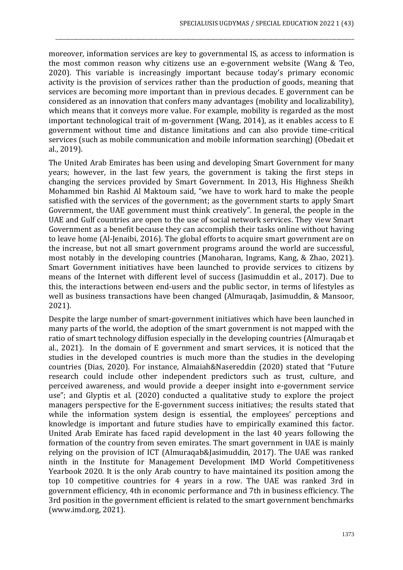moreover, information services are key to governmental IS, as access to information is the most common reason why citizens use an e-government website (Wang & Teo, 2020). This variable is increasingly important because today's primary economic activity is the provision of services rather than the production of goods, meaning that services are becoming more important than in previous decades. E government can be considered as an innovation that confers many advantages (mobility and localizability), which means that it conveys more value. For example, mobility is regarded as the most important technological trait of m-government (Wang, 2014), as it enables access to E government without time and distance limitations and can also provide time-critical services (such as mobile communication and mobile information searching) (Obedait et al., 2019).

\_\_\_\_\_\_\_\_\_\_\_\_\_\_\_\_\_\_\_\_\_\_\_\_\_\_\_\_\_\_\_\_\_\_\_\_\_\_\_\_\_\_\_\_\_\_\_\_\_\_\_\_\_\_\_\_\_\_\_\_\_\_\_\_\_\_\_\_\_\_\_\_\_\_\_\_\_\_\_\_\_\_\_\_\_\_\_\_\_\_\_\_\_\_\_\_\_\_\_\_\_\_\_\_\_\_\_\_\_\_\_\_\_\_\_\_\_\_\_

The United Arab Emirates has been using and developing Smart Government for many years; however, in the last few years, the government is taking the first steps in changing the services provided by Smart Government. In 2013, His Highness Sheikh Mohammed bin Rashid Al Maktoum said, "we have to work hard to make the people satisfied with the services of the government; as the government starts to apply Smart Government, the UAE government must think creatively". In general, the people in the UAE and Gulf countries are open to the use of social network services. They view Smart Government as a benefit because they can accomplish their tasks online without having to leave home (Al-Jenaibi, 2016). The global efforts to acquire smart government are on the increase, but not all smart government programs around the world are successful, most notably in the developing countries (Manoharan, Ingrams, Kang, & Zhao, 2021). Smart Government initiatives have been launched to provide services to citizens by means of the Internet with different level of success (Jasimuddin et al., 2017). Due to this, the interactions between end-users and the public sector, in terms of lifestyles as well as business transactions have been changed (Almuraqab, Jasimuddin, & Mansoor, 2021).

Despite the large number of smart-government initiatives which have been launched in many parts of the world, the adoption of the smart government is not mapped with the ratio of smart technology diffusion especially in the developing countries (Almuraqab et al., 2021). In the domain of E government and smart services, it is noticed that the studies in the developed countries is much more than the studies in the developing countries (Dias, 2020). For instance, Almaiah&Nasereddin (2020) stated that "Future research could include other independent predictors such as trust, culture, and perceived awareness, and would provide a deeper insight into e-government service use"; and Glyptis et al. (2020) conducted a qualitative study to explore the project managers perspective for the E-government success initiatives; the results stated that while the information system design is essential, the employees' perceptions and knowledge is important and future studies have to empirically examined this factor. United Arab Emirate has faced rapid development in the last 40 years following the formation of the country from seven emirates. The smart government in UAE is mainly relying on the provision of ICT (Almuraqab&Jasimuddin, 2017). The UAE was ranked ninth in the Institute for Management Development IMD World Competitiveness Yearbook 2020. It is the only Arab country to have maintained its position among the top 10 competitive countries for 4 years in a row. The UAE was ranked 3rd in government efficiency, 4th in economic performance and 7th in business efficiency. The 3rd position in the government efficient is related to the smart government benchmarks (www.imd.org, 2021).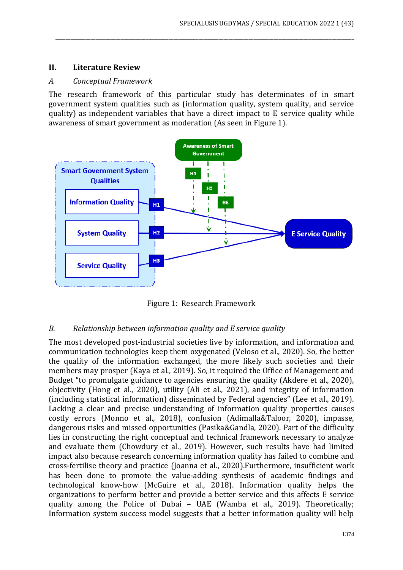#### **II. Literature Review**

## *A. Conceptual Framework*

The research framework of this particular study has determinates of in smart government system qualities such as (information quality, system quality, and service quality) as independent variables that have a direct impact to E service quality while awareness of smart government as moderation (As seen in Figure 1).

\_\_\_\_\_\_\_\_\_\_\_\_\_\_\_\_\_\_\_\_\_\_\_\_\_\_\_\_\_\_\_\_\_\_\_\_\_\_\_\_\_\_\_\_\_\_\_\_\_\_\_\_\_\_\_\_\_\_\_\_\_\_\_\_\_\_\_\_\_\_\_\_\_\_\_\_\_\_\_\_\_\_\_\_\_\_\_\_\_\_\_\_\_\_\_\_\_\_\_\_\_\_\_\_\_\_\_\_\_\_\_\_\_\_\_\_\_\_\_



Figure 1: Research Framework

## *B. Relationship between information quality and E service quality*

The most developed post-industrial societies live by information, and information and communication technologies keep them oxygenated (Veloso et al., 2020). So, the better the quality of the information exchanged, the more likely such societies and their members may prosper (Kaya et al., 2019). So, it required the Office of Management and Budget "to promulgate guidance to agencies ensuring the quality (Akdere et al., 2020), objectivity (Hong et al., 2020), utility (Ali et al., 2021), and integrity of information (including statistical information) disseminated by Federal agencies" (Lee et al., 2019). Lacking a clear and precise understanding of information quality properties causes costly errors (Monno et al., 2018), confusion (Adimalla&Taloor, 2020), impasse, dangerous risks and missed opportunities (Pasika&Gandla, 2020). Part of the difficulty lies in constructing the right conceptual and technical framework necessary to analyze and evaluate them (Chowdury et al., 2019). However, such results have had limited impact also because research concerning information quality has failed to combine and cross-fertilise theory and practice (Joanna et al., 2020).Furthermore, insufficient work has been done to promote the value-adding synthesis of academic findings and technological know-how (McGuire et al., 2018). Information quality helps the organizations to perform better and provide a better service and this affects E service quality among the Police of Dubai – UAE (Wamba et al., 2019). Theoretically; Information system success model suggests that a better information quality will help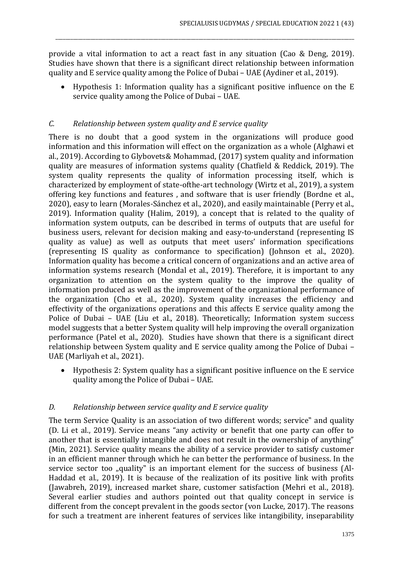provide a vital information to act a react fast in any situation (Cao & Deng, 2019). Studies have shown that there is a significant direct relationship between information quality and E service quality among the Police of Dubai – UAE (Aydiner et al., 2019).

\_\_\_\_\_\_\_\_\_\_\_\_\_\_\_\_\_\_\_\_\_\_\_\_\_\_\_\_\_\_\_\_\_\_\_\_\_\_\_\_\_\_\_\_\_\_\_\_\_\_\_\_\_\_\_\_\_\_\_\_\_\_\_\_\_\_\_\_\_\_\_\_\_\_\_\_\_\_\_\_\_\_\_\_\_\_\_\_\_\_\_\_\_\_\_\_\_\_\_\_\_\_\_\_\_\_\_\_\_\_\_\_\_\_\_\_\_\_\_

• Hypothesis 1: Information quality has a significant positive influence on the E service quality among the Police of Dubai – UAE.

## *C. Relationship between system quality and E service quality*

There is no doubt that a good system in the organizations will produce good information and this information will effect on the organization as a whole (Alghawi et al., 2019). According to Glybovets& Mohammad, (2017) system quality and information quality are measures of information systems quality (Chatfield & Reddick, 2019). The system quality represents the quality of information processing itself, which is characterized by employment of state-ofthe-art technology (Wirtz et al., 2019), a system offering key functions and features , and software that is user friendly (Bordne et al., 2020), easy to learn (Morales-Sánchez et al., 2020), and easily maintainable (Perry et al., 2019). Information quality (Halim, 2019), a concept that is related to the quality of information system outputs, can be described in terms of outputs that are useful for business users, relevant for decision making and easy-to-understand (representing IS quality as value) as well as outputs that meet users' information specifications (representing IS quality as conformance to specification) (Johnson et al., 2020). Information quality has become a critical concern of organizations and an active area of information systems research (Mondal et al., 2019). Therefore, it is important to any organization to attention on the system quality to the improve the quality of information produced as well as the improvement of the organizational performance of the organization (Cho et al., 2020). System quality increases the efficiency and effectivity of the organizations operations and this affects E service quality among the Police of Dubai – UAE (Liu et al., 2018). Theoretically; Information system success model suggests that a better System quality will help improving the overall organization performance (Patel et al., 2020). Studies have shown that there is a significant direct relationship between System quality and E service quality among the Police of Dubai – UAE (Marliyah et al., 2021).

• Hypothesis 2: System quality has a significant positive influence on the E service quality among the Police of Dubai – UAE.

#### *D. Relationship between service quality and E service quality*

The term Service Quality is an association of two different words; service" and quality (D. Li et al., 2019). Service means "any activity or benefit that one party can offer to another that is essentially intangible and does not result in the ownership of anything" (Min, 2021). Service quality means the ability of a service provider to satisfy customer in an efficient manner through which he can better the performance of business. In the service sector too "quality" is an important element for the success of business (Al-Haddad et al., 2019). It is because of the realization of its positive link with profits (Jawabreh, 2019), increased market share, customer satisfaction (Mehri et al., 2018). Several earlier studies and authors pointed out that quality concept in service is different from the concept prevalent in the goods sector (von Lucke, 2017). The reasons for such a treatment are inherent features of services like intangibility, inseparability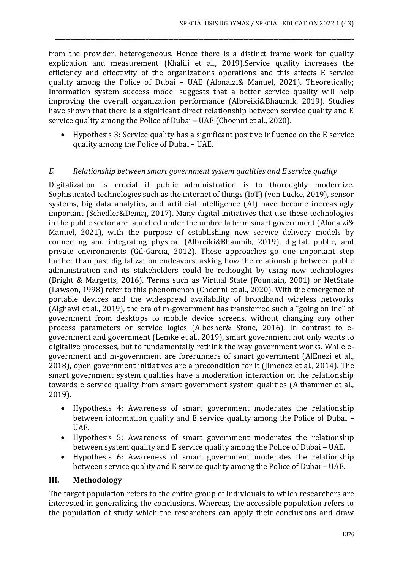from the provider, heterogeneous. Hence there is a distinct frame work for quality explication and measurement (Khalili et al., 2019).Service quality increases the efficiency and effectivity of the organizations operations and this affects E service quality among the Police of Dubai – UAE (Alonaizi& Manuel, 2021). Theoretically; Information system success model suggests that a better service quality will help improving the overall organization performance (Albreiki&Bhaumik, 2019). Studies have shown that there is a significant direct relationship between service quality and E service quality among the Police of Dubai – UAE (Choenni et al., 2020).

\_\_\_\_\_\_\_\_\_\_\_\_\_\_\_\_\_\_\_\_\_\_\_\_\_\_\_\_\_\_\_\_\_\_\_\_\_\_\_\_\_\_\_\_\_\_\_\_\_\_\_\_\_\_\_\_\_\_\_\_\_\_\_\_\_\_\_\_\_\_\_\_\_\_\_\_\_\_\_\_\_\_\_\_\_\_\_\_\_\_\_\_\_\_\_\_\_\_\_\_\_\_\_\_\_\_\_\_\_\_\_\_\_\_\_\_\_\_\_

• Hypothesis 3: Service quality has a significant positive influence on the E service quality among the Police of Dubai – UAE.

## *E. Relationship between smart government system qualities and E service quality*

Digitalization is crucial if public administration is to thoroughly modernize. Sophisticated technologies such as the internet of things (IoT) (von Lucke, 2019), sensor systems, big data analytics, and artificial intelligence (AI) have become increasingly important (Schedler&Demaj, 2017). Many digital initiatives that use these technologies in the public sector are launched under the umbrella term smart government (Alonaizi& Manuel, 2021), with the purpose of establishing new service delivery models by connecting and integrating physical (Albreiki&Bhaumik, 2019), digital, public, and private environments (Gil-Garcia, 2012). These approaches go one important step further than past digitalization endeavors, asking how the relationship between public administration and its stakeholders could be rethought by using new technologies (Bright & Margetts, 2016). Terms such as Virtual State (Fountain, 2001) or NetState (Lawson, 1998) refer to this phenomenon (Choenni et al., 2020). With the emergence of portable devices and the widespread availability of broadband wireless networks (Alghawi et al., 2019), the era of m-government has transferred such a "going online" of government from desktops to mobile device screens, without changing any other process parameters or service logics (Albesher& Stone, 2016). In contrast to egovernment and government (Lemke et al., 2019), smart government not only wants to digitalize processes, but to fundamentally rethink the way government works. While egovernment and m-government are forerunners of smart government (AlEnezi et al., 2018), open government initiatives are a precondition for it (Jimenez et al., 2014). The smart government system qualities have a moderation interaction on the relationship towards e service quality from smart government system qualities (Althammer et al., 2019).

- Hypothesis 4: Awareness of smart government moderates the relationship between information quality and E service quality among the Police of Dubai – UAE.
- Hypothesis 5: Awareness of smart government moderates the relationship between system quality and E service quality among the Police of Dubai – UAE.
- Hypothesis 6: Awareness of smart government moderates the relationship between service quality and E service quality among the Police of Dubai – UAE.

#### **III. Methodology**

The target population refers to the entire group of individuals to which researchers are interested in generalizing the conclusions. Whereas, the accessible population refers to the population of study which the researchers can apply their conclusions and draw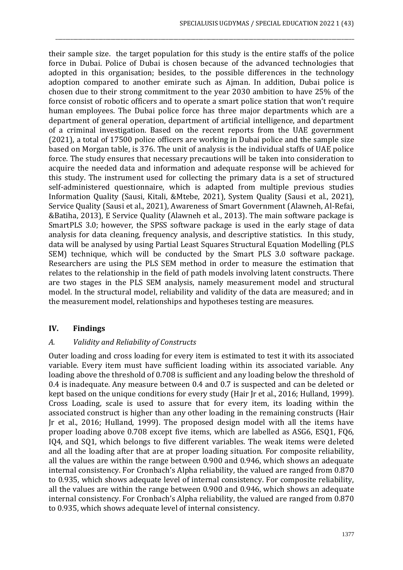their sample size. the target population for this study is the entire staffs of the police force in Dubai. Police of Dubai is chosen because of the advanced technologies that adopted in this organisation; besides, to the possible differences in the technology adoption compared to another emirate such as Ajman. In addition, Dubai police is chosen due to their strong commitment to the year 2030 ambition to have 25% of the force consist of robotic officers and to operate a smart police station that won't require human employees. The Dubai police force has three major departments which are a department of general operation, department of artificial intelligence, and department of a criminal investigation. Based on the recent reports from the UAE government (2021), a total of 17500 police officers are working in Dubai police and the sample size based on Morgan table, is 376. The unit of analysis is the individual staffs of UAE police force. The study ensures that necessary precautions will be taken into consideration to acquire the needed data and information and adequate response will be achieved for this study. The instrument used for collecting the primary data is a set of structured self-administered questionnaire, which is adapted from multiple previous studies Information Quality (Sausi, Kitali, &Mtebe, 2021), System Quality (Sausi et al., 2021), Service Quality (Sausi et al., 2021), Awareness of Smart Government (Alawneh, Al-Refai, &Batiha, 2013), E Service Quality (Alawneh et al., 2013). The main software package is SmartPLS 3.0; however, the SPSS software package is used in the early stage of data analysis for data cleaning, frequency analysis, and descriptive statistics. In this study, data will be analysed by using Partial Least Squares Structural Equation Modelling (PLS SEM) technique, which will be conducted by the Smart PLS 3.0 software package. Researchers are using the PLS SEM method in order to measure the estimation that relates to the relationship in the field of path models involving latent constructs. There are two stages in the PLS SEM analysis, namely measurement model and structural model. In the structural model, reliability and validity of the data are measured; and in the measurement model, relationships and hypotheses testing are measures.

\_\_\_\_\_\_\_\_\_\_\_\_\_\_\_\_\_\_\_\_\_\_\_\_\_\_\_\_\_\_\_\_\_\_\_\_\_\_\_\_\_\_\_\_\_\_\_\_\_\_\_\_\_\_\_\_\_\_\_\_\_\_\_\_\_\_\_\_\_\_\_\_\_\_\_\_\_\_\_\_\_\_\_\_\_\_\_\_\_\_\_\_\_\_\_\_\_\_\_\_\_\_\_\_\_\_\_\_\_\_\_\_\_\_\_\_\_\_\_

## **IV. Findings**

#### *A. Validity and Reliability of Constructs*

Outer loading and cross loading for every item is estimated to test it with its associated variable. Every item must have sufficient loading within its associated variable. Any loading above the threshold of 0.708 is sufficient and any loading below the threshold of 0.4 is inadequate. Any measure between 0.4 and 0.7 is suspected and can be deleted or kept based on the unique conditions for every study (Hair Jr et al., 2016; Hulland, 1999). Cross Loading, scale is used to assure that for every item, its loading within the associated construct is higher than any other loading in the remaining constructs (Hair Jr et al., 2016; Hulland, 1999). The proposed design model with all the items have proper loading above 0.708 except five items, which are labelled as ASG6, ESQ1, FQ6, IQ4, and SQ1, which belongs to five different variables. The weak items were deleted and all the loading after that are at proper loading situation. For composite reliability, all the values are within the range between 0.900 and 0.946, which shows an adequate internal consistency. For Cronbach's Alpha reliability, the valued are ranged from 0.870 to 0.935, which shows adequate level of internal consistency. For composite reliability, all the values are within the range between 0.900 and 0.946, which shows an adequate internal consistency. For Cronbach's Alpha reliability, the valued are ranged from 0.870 to 0.935, which shows adequate level of internal consistency.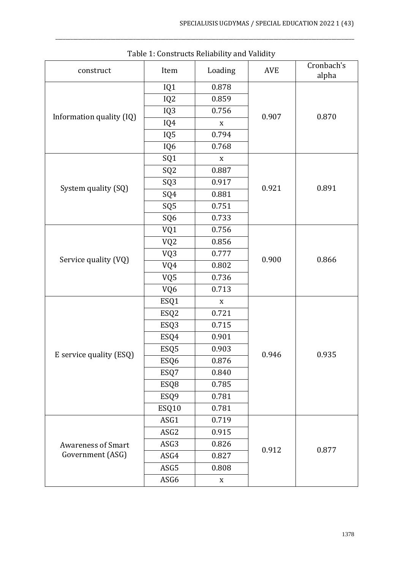| construct                 | Item             | Loading     | AVE   | Cronbach's<br>alpha |  |  |
|---------------------------|------------------|-------------|-------|---------------------|--|--|
|                           | IQ1              | 0.878       |       |                     |  |  |
|                           | IQ <sub>2</sub>  | 0.859       |       |                     |  |  |
|                           | IQ3              | 0.756       | 0.907 | 0.870               |  |  |
| Information quality (IQ)  | IQ4              | X           |       |                     |  |  |
|                           | IQ5              | 0.794       |       |                     |  |  |
|                           | IQ6              | 0.768       |       |                     |  |  |
|                           | SQ1              | $\mathbf X$ |       |                     |  |  |
|                           | SQ <sub>2</sub>  | 0.887       |       |                     |  |  |
| System quality (SQ)       | SQ <sub>3</sub>  | 0.917       | 0.921 | 0.891               |  |  |
|                           | SQ4              | 0.881       |       |                     |  |  |
|                           | SQ <sub>5</sub>  | 0.751       |       |                     |  |  |
|                           | SQ <sub>6</sub>  | 0.733       |       |                     |  |  |
|                           | VQ1              | 0.756       |       |                     |  |  |
|                           | VQ <sub>2</sub>  | 0.856       |       |                     |  |  |
| Service quality (VQ)      | VQ3              | 0.777       | 0.900 | 0.866               |  |  |
|                           | VQ4              | 0.802       |       |                     |  |  |
|                           | VQ5              | 0.736       |       |                     |  |  |
|                           | VQ6              | 0.713       |       |                     |  |  |
|                           | ESQ1             | X           |       |                     |  |  |
|                           | ESQ <sub>2</sub> | 0.721       |       | 0.935               |  |  |
|                           | ESQ <sub>3</sub> | 0.715       |       |                     |  |  |
|                           | ESQ4             | 0.901       |       |                     |  |  |
| E service quality (ESQ)   | ESQ <sub>5</sub> | 0.903       | 0.946 |                     |  |  |
|                           | ESQ6             | 0.876       |       |                     |  |  |
|                           | ESQ7             | 0.840       |       |                     |  |  |
|                           | ESQ8             | 0.785       |       |                     |  |  |
|                           | ESQ9             | 0.781       |       |                     |  |  |
|                           | ESQ10            | 0.781       |       |                     |  |  |
|                           | ASG1             | 0.719       |       |                     |  |  |
|                           | ASG2             | 0.915       |       | 0.877               |  |  |
| <b>Awareness of Smart</b> | ASG3             | 0.826       | 0.912 |                     |  |  |
| Government (ASG)          | ASG4             | 0.827       |       |                     |  |  |
|                           | ASG5             | 0.808       |       |                     |  |  |
|                           | ASG6             | $\mathbf X$ |       |                     |  |  |

Table 1: Constructs Reliability and Validity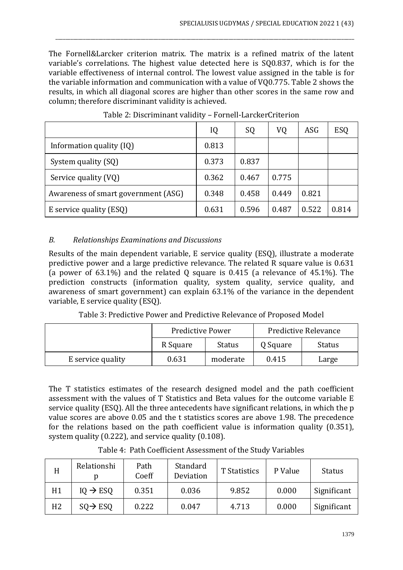The Fornell&Larcker criterion matrix. The matrix is a refined matrix of the latent variable's correlations. The highest value detected here is SQ0.837, which is for the variable effectiveness of internal control. The lowest value assigned in the table is for the variable information and communication with a value of VQ0.775. Table 2 shows the results, in which all diagonal scores are higher than other scores in the same row and column; therefore discriminant validity is achieved.

\_\_\_\_\_\_\_\_\_\_\_\_\_\_\_\_\_\_\_\_\_\_\_\_\_\_\_\_\_\_\_\_\_\_\_\_\_\_\_\_\_\_\_\_\_\_\_\_\_\_\_\_\_\_\_\_\_\_\_\_\_\_\_\_\_\_\_\_\_\_\_\_\_\_\_\_\_\_\_\_\_\_\_\_\_\_\_\_\_\_\_\_\_\_\_\_\_\_\_\_\_\_\_\_\_\_\_\_\_\_\_\_\_\_\_\_\_\_\_

|                                     | IQ    | SQ    | VQ    | ASG   | ESQ   |
|-------------------------------------|-------|-------|-------|-------|-------|
| Information quality (IQ)            | 0.813 |       |       |       |       |
| System quality (SQ)                 | 0.373 | 0.837 |       |       |       |
| Service quality (VQ)                | 0.362 | 0.467 | 0.775 |       |       |
| Awareness of smart government (ASG) | 0.348 | 0.458 | 0.449 | 0.821 |       |
| E service quality (ESQ)             | 0.631 | 0.596 | 0.487 | 0.522 | 0.814 |

Table 2: Discriminant validity – Fornell-LarckerCriterion

# *B. Relationships Examinations and Discussions*

Results of the main dependent variable, E service quality (ESQ), illustrate a moderate predictive power and a large predictive relevance. The related R square value is 0.631 (a power of 63.1%) and the related Q square is 0.415 (a relevance of 45.1%). The prediction constructs (information quality, system quality, service quality, and awareness of smart government) can explain 63.1% of the variance in the dependent variable, E service quality (ESQ).

Table 3: Predictive Power and Predictive Relevance of Proposed Model

|                   | Predictive Power |          | Predictive Relevance |        |  |
|-------------------|------------------|----------|----------------------|--------|--|
|                   | R Square         | Status   | Q Square             | Status |  |
| E service quality | 0.631            | moderate | 0.415                | Large  |  |

The T statistics estimates of the research designed model and the path coefficient assessment with the values of T Statistics and Beta values for the outcome variable E service quality (ESQ). All the three antecedents have significant relations, in which the p value scores are above 0.05 and the t statistics scores are above 1.98. The precedence for the relations based on the path coefficient value is information quality (0.351), system quality (0.222), and service quality (0.108).

| H              | Relationshi          | Path<br>Coeff | Standard<br>Deviation | T Statistics | P Value | <b>Status</b> |
|----------------|----------------------|---------------|-----------------------|--------------|---------|---------------|
| H1             | $IO \rightarrow ESO$ | 0.351         | 0.036                 | 9.852        | 0.000   | Significant   |
| H <sub>2</sub> | $SO \rightarrow ESQ$ | 0.222         | 0.047                 | 4.713        | 0.000   | Significant   |

Table 4: Path Coefficient Assessment of the Study Variables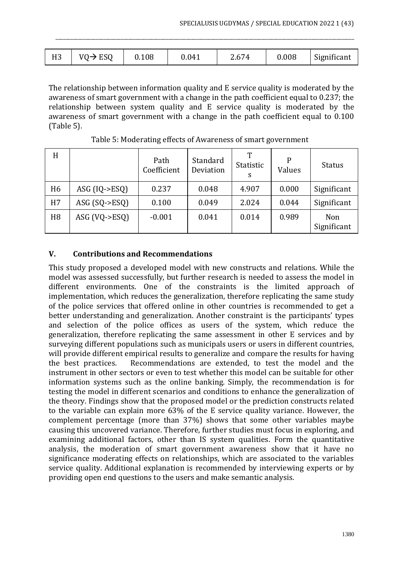| 1 T O<br>11 J | $\sim$ $\sim$<br>.<br>6 N<br>__ | 0.108 | 0.041 | <b>∕ −</b><br>$\sqrt{2}$<br>$^{\prime}$<br><br>--- | 0.008 | $\sim$<br>$\sim$<br>Significant |
|---------------|---------------------------------|-------|-------|----------------------------------------------------|-------|---------------------------------|
|---------------|---------------------------------|-------|-------|----------------------------------------------------|-------|---------------------------------|

\_\_\_\_\_\_\_\_\_\_\_\_\_\_\_\_\_\_\_\_\_\_\_\_\_\_\_\_\_\_\_\_\_\_\_\_\_\_\_\_\_\_\_\_\_\_\_\_\_\_\_\_\_\_\_\_\_\_\_\_\_\_\_\_\_\_\_\_\_\_\_\_\_\_\_\_\_\_\_\_\_\_\_\_\_\_\_\_\_\_\_\_\_\_\_\_\_\_\_\_\_\_\_\_\_\_\_\_\_\_\_\_\_\_\_\_\_\_\_

The relationship between information quality and E service quality is moderated by the awareness of smart government with a change in the path coefficient equal to 0.237; the relationship between system quality and E service quality is moderated by the awareness of smart government with a change in the path coefficient equal to 0.100 (Table 5).

| H              |                            | Path<br>Coefficient | Standard<br>Deviation | <b>Statistic</b><br>S | P<br>Values | Status             |
|----------------|----------------------------|---------------------|-----------------------|-----------------------|-------------|--------------------|
| H <sub>6</sub> | ASG $(IQ->ESQ)$            | 0.237               | 0.048                 | 4.907                 | 0.000       | Significant        |
| H7             | ASG $(SQ \rightarrow ESQ)$ | 0.100               | 0.049                 | 2.024                 | 0.044       | Significant        |
| H <sub>8</sub> | ASG $(VQ \rightarrow ESQ)$ | $-0.001$            | 0.041                 | 0.014                 | 0.989       | Non<br>Significant |

Table 5: Moderating effects of Awareness of smart government

#### **V. Contributions and Recommendations**

This study proposed a developed model with new constructs and relations. While the model was assessed successfully, but further research is needed to assess the model in different environments. One of the constraints is the limited approach of implementation, which reduces the generalization, therefore replicating the same study of the police services that offered online in other countries is recommended to get a better understanding and generalization. Another constraint is the participants' types and selection of the police offices as users of the system, which reduce the generalization, therefore replicating the same assessment in other E services and by surveying different populations such as municipals users or users in different countries, will provide different empirical results to generalize and compare the results for having the best practices. Recommendations are extended, to test the model and the instrument in other sectors or even to test whether this model can be suitable for other information systems such as the online banking. Simply, the recommendation is for testing the model in different scenarios and conditions to enhance the generalization of the theory. Findings show that the proposed model or the prediction constructs related to the variable can explain more 63% of the E service quality variance. However, the complement percentage (more than 37%) shows that some other variables maybe causing this uncovered variance. Therefore, further studies must focus in exploring, and examining additional factors, other than IS system qualities. Form the quantitative analysis, the moderation of smart government awareness show that it have no significance moderating effects on relationships, which are associated to the variables service quality. Additional explanation is recommended by interviewing experts or by providing open end questions to the users and make semantic analysis.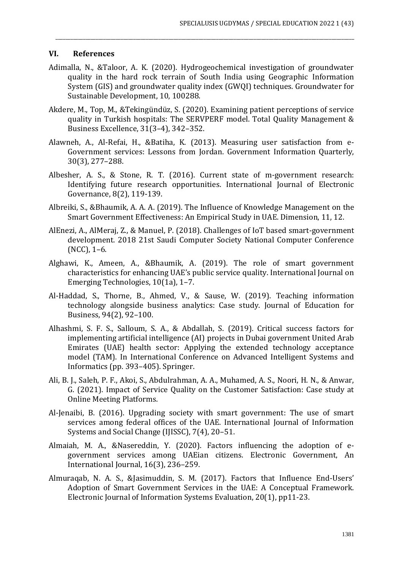#### **VI. References**

Adimalla, N., &Taloor, A. K. (2020). Hydrogeochemical investigation of groundwater quality in the hard rock terrain of South India using Geographic Information System (GIS) and groundwater quality index (GWQI) techniques. Groundwater for Sustainable Development, 10, 100288.

- Akdere, M., Top, M., &Tekingündüz, S. (2020). Examining patient perceptions of service quality in Turkish hospitals: The SERVPERF model. Total Quality Management & Business Excellence, 31(3–4), 342–352.
- Alawneh, A., Al-Refai, H., &Batiha, K. (2013). Measuring user satisfaction from e-Government services: Lessons from Jordan. Government Information Quarterly, 30(3), 277–288.
- Albesher, A. S., & Stone, R. T. (2016). Current state of m-government research: Identifying future research opportunities. International Journal of Electronic Governance, 8(2), 119-139.
- Albreiki, S., &Bhaumik, A. A. A. (2019). The Influence of Knowledge Management on the Smart Government Effectiveness: An Empirical Study in UAE. Dimension, 11, 12.
- AlEnezi, A., AlMeraj, Z., & Manuel, P. (2018). Challenges of IoT based smart-government development. 2018 21st Saudi Computer Society National Computer Conference (NCC), 1–6.
- Alghawi, K., Ameen, A., &Bhaumik, A. (2019). The role of smart government characteristics for enhancing UAE's public service quality. International Journal on Emerging Technologies, 10(1a), 1–7.
- Al-Haddad, S., Thorne, B., Ahmed, V., & Sause, W. (2019). Teaching information technology alongside business analytics: Case study. Journal of Education for Business, 94(2), 92–100.
- Alhashmi, S. F. S., Salloum, S. A., & Abdallah, S. (2019). Critical success factors for implementing artificial intelligence (AI) projects in Dubai government United Arab Emirates (UAE) health sector: Applying the extended technology acceptance model (TAM). In International Conference on Advanced Intelligent Systems and Informatics (pp. 393–405). Springer.
- Ali, B. J., Saleh, P. F., Akoi, S., Abdulrahman, A. A., Muhamed, A. S., Noori, H. N., & Anwar, G. (2021). Impact of Service Quality on the Customer Satisfaction: Case study at Online Meeting Platforms.
- Al-Jenaibi, B. (2016). Upgrading society with smart government: The use of smart services among federal offices of the UAE. International Journal of Information Systems and Social Change (IJISSC), 7(4), 20–51.
- Almaiah, M. A., &Nasereddin, Y. (2020). Factors influencing the adoption of egovernment services among UAEian citizens. Electronic Government, An International Journal, 16(3), 236–259.
- Almuraqab, N. A. S., &Jasimuddin, S. M. (2017). Factors that Influence End‑Users' Adoption of Smart Government Services in the UAE: A Conceptual Framework. Electronic Journal of Information Systems Evaluation, 20(1), pp11-23.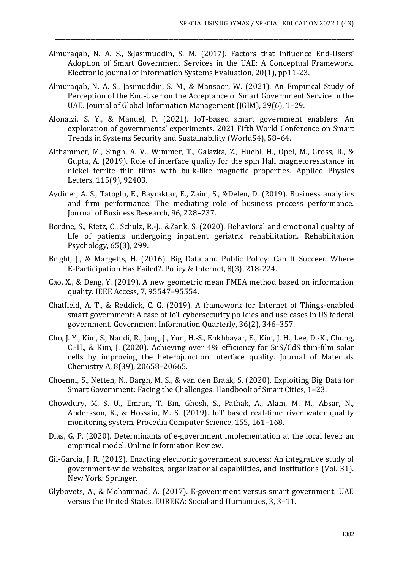Almuraqab, N. A. S., &Jasimuddin, S. M. (2017). Factors that Influence End‑Users' Adoption of Smart Government Services in the UAE: A Conceptual Framework. Electronic Journal of Information Systems Evaluation, 20(1), pp11-23.

- Almuraqab, N. A. S., Jasimuddin, S. M., & Mansoor, W. (2021). An Empirical Study of Perception of the End-User on the Acceptance of Smart Government Service in the UAE. Journal of Global Information Management (JGIM), 29(6), 1–29.
- Alonaizi, S. Y., & Manuel, P. (2021). IoT-based smart government enablers: An exploration of governments' experiments. 2021 Fifth World Conference on Smart Trends in Systems Security and Sustainability (WorldS4), 58–64.
- Althammer, M., Singh, A. V., Wimmer, T., Galazka, Z., Huebl, H., Opel, M., Gross, R., & Gupta, A. (2019). Role of interface quality for the spin Hall magnetoresistance in nickel ferrite thin films with bulk-like magnetic properties. Applied Physics Letters, 115(9), 92403.
- Aydiner, A. S., Tatoglu, E., Bayraktar, E., Zaim, S., &Delen, D. (2019). Business analytics and firm performance: The mediating role of business process performance. Journal of Business Research, 96, 228–237.
- Bordne, S., Rietz, C., Schulz, R.-J., &Zank, S. (2020). Behavioral and emotional quality of life of patients undergoing inpatient geriatric rehabilitation. Rehabilitation Psychology, 65(3), 299.
- Bright, J., & Margetts, H. (2016). Big Data and Public Policy: Can It Succeed Where E‑Participation Has Failed?. Policy & Internet, 8(3), 218-224.
- Cao, X., & Deng, Y. (2019). A new geometric mean FMEA method based on information quality. IEEE Access, 7, 95547–95554.
- Chatfield, A. T., & Reddick, C. G. (2019). A framework for Internet of Things-enabled smart government: A case of IoT cybersecurity policies and use cases in US federal government. Government Information Quarterly, 36(2), 346–357.
- Cho, J. Y., Kim, S., Nandi, R., Jang, J., Yun, H.-S., Enkhbayar, E., Kim, J. H., Lee, D.-K., Chung, C.-H., & Kim, J. (2020). Achieving over 4% efficiency for SnS/CdS thin-film solar cells by improving the heterojunction interface quality. Journal of Materials Chemistry A, 8(39), 20658–20665.
- Choenni, S., Netten, N., Bargh, M. S., & van den Braak, S. (2020). Exploiting Big Data for Smart Government: Facing the Challenges. Handbook of Smart Cities, 1–23.
- Chowdury, M. S. U., Emran, T. Bin, Ghosh, S., Pathak, A., Alam, M. M., Absar, N., Andersson, K., & Hossain, M. S. (2019). IoT based real-time river water quality monitoring system. Procedia Computer Science, 155, 161–168.
- Dias, G. P. (2020). Determinants of e-government implementation at the local level: an empirical model. Online Information Review.
- Gil-Garcia, J. R. (2012). Enacting electronic government success: An integrative study of government-wide websites, organizational capabilities, and institutions (Vol. 31). New York: Springer.
- Glybovets, A., & Mohammad, A. (2017). E-government versus smart government: UAE versus the United States. EUREKA: Social and Humanities, 3, 3–11.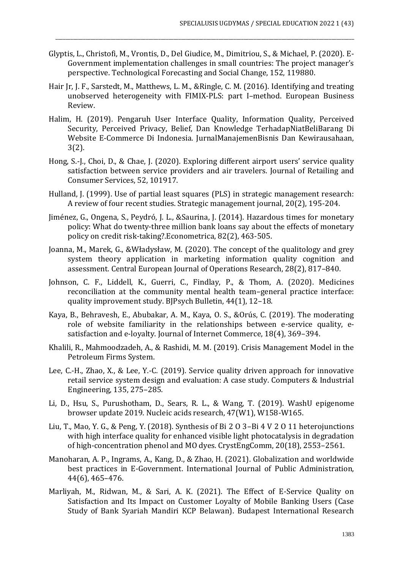Glyptis, L., Christofi, M., Vrontis, D., Del Giudice, M., Dimitriou, S., & Michael, P. (2020). E-Government implementation challenges in small countries: The project manager's perspective. Technological Forecasting and Social Change, 152, 119880.

- Hair Jr, J. F., Sarstedt, M., Matthews, L. M., &Ringle, C. M. (2016). Identifying and treating unobserved heterogeneity with FIMIX-PLS: part I–method. European Business Review.
- Halim, H. (2019). Pengaruh User Interface Quality, Information Quality, Perceived Security, Perceived Privacy, Belief, Dan Knowledge TerhadapNiatBeliBarang Di Website E-Commerce Di Indonesia. JurnalManajemenBisnis Dan Kewirausahaan, 3(2).
- Hong, S.-J., Choi, D., & Chae, J. (2020). Exploring different airport users' service quality satisfaction between service providers and air travelers. Journal of Retailing and Consumer Services, 52, 101917.
- Hulland, J. (1999). Use of partial least squares (PLS) in strategic management research: A review of four recent studies. Strategic management journal, 20(2), 195-204.
- Jiménez, G., Ongena, S., Peydró, J. L., &Saurina, J. (2014). Hazardous times for monetary policy: What do twenty‑three million bank loans say about the effects of monetary policy on credit risk‑taking?.Econometrica, 82(2), 463-505.
- Joanna, M., Marek, G., &Władysław, M. (2020). The concept of the qualitology and grey system theory application in marketing information quality cognition and assessment. Central European Journal of Operations Research, 28(2), 817–840.
- Johnson, C. F., Liddell, K., Guerri, C., Findlay, P., & Thom, A. (2020). Medicines reconciliation at the community mental health team–general practice interface: quality improvement study. BJPsych Bulletin, 44(1), 12–18.
- Kaya, B., Behravesh, E., Abubakar, A. M., Kaya, O. S., &Orús, C. (2019). The moderating role of website familiarity in the relationships between e-service quality, esatisfaction and e-loyalty. Journal of Internet Commerce, 18(4), 369–394.
- Khalili, R., Mahmoodzadeh, A., & Rashidi, M. M. (2019). Crisis Management Model in the Petroleum Firms System.
- Lee, C.-H., Zhao, X., & Lee, Y.-C. (2019). Service quality driven approach for innovative retail service system design and evaluation: A case study. Computers & Industrial Engineering, 135, 275–285.
- Li, D., Hsu, S., Purushotham, D., Sears, R. L., & Wang, T. (2019). WashU epigenome browser update 2019. Nucleic acids research, 47(W1), W158-W165.
- Liu, T., Mao, Y. G., & Peng, Y. (2018). Synthesis of Bi 2 O 3–Bi 4 V 2 O 11 heterojunctions with high interface quality for enhanced visible light photocatalysis in degradation of high-concentration phenol and MO dyes. CrystEngComm, 20(18), 2553–2561.
- Manoharan, A. P., Ingrams, A., Kang, D., & Zhao, H. (2021). Globalization and worldwide best practices in E-Government. International Journal of Public Administration, 44(6), 465–476.
- Marliyah, M., Ridwan, M., & Sari, A. K. (2021). The Effect of E-Service Quality on Satisfaction and Its Impact on Customer Loyalty of Mobile Banking Users (Case Study of Bank Syariah Mandiri KCP Belawan). Budapest International Research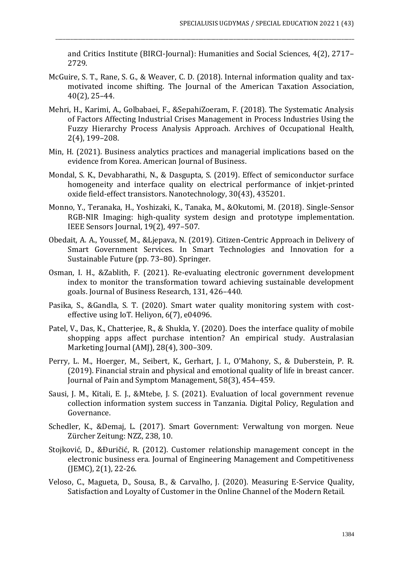and Critics Institute (BIRCI-Journal): Humanities and Social Sciences, 4(2), 2717– 2729.

- McGuire, S. T., Rane, S. G., & Weaver, C. D. (2018). Internal information quality and taxmotivated income shifting. The Journal of the American Taxation Association, 40(2), 25–44.
- Mehri, H., Karimi, A., Golbabaei, F., &SepahiZoeram, F. (2018). The Systematic Analysis of Factors Affecting Industrial Crises Management in Process Industries Using the Fuzzy Hierarchy Process Analysis Approach. Archives of Occupational Health, 2(4), 199–208.
- Min, H. (2021). Business analytics practices and managerial implications based on the evidence from Korea. American Journal of Business.
- Mondal, S. K., Devabharathi, N., & Dasgupta, S. (2019). Effect of semiconductor surface homogeneity and interface quality on electrical performance of inkjet-printed oxide field-effect transistors. Nanotechnology, 30(43), 435201.
- Monno, Y., Teranaka, H., Yoshizaki, K., Tanaka, M., &Okutomi, M. (2018). Single-Sensor RGB-NIR Imaging: high-quality system design and prototype implementation. IEEE Sensors Journal, 19(2), 497–507.
- Obedait, A. A., Youssef, M., &Ljepava, N. (2019). Citizen-Centric Approach in Delivery of Smart Government Services. In Smart Technologies and Innovation for a Sustainable Future (pp. 73–80). Springer.
- Osman, I. H., &Zablith, F. (2021). Re-evaluating electronic government development index to monitor the transformation toward achieving sustainable development goals. Journal of Business Research, 131, 426–440.
- Pasika, S., &Gandla, S. T. (2020). Smart water quality monitoring system with costeffective using IoT. Heliyon, 6(7), e04096.
- Patel, V., Das, K., Chatterjee, R., & Shukla, Y. (2020). Does the interface quality of mobile shopping apps affect purchase intention? An empirical study. Australasian Marketing Journal (AMJ), 28(4), 300–309.
- Perry, L. M., Hoerger, M., Seibert, K., Gerhart, J. I., O'Mahony, S., & Duberstein, P. R. (2019). Financial strain and physical and emotional quality of life in breast cancer. Journal of Pain and Symptom Management, 58(3), 454–459.
- Sausi, J. M., Kitali, E. J., &Mtebe, J. S. (2021). Evaluation of local government revenue collection information system success in Tanzania. Digital Policy, Regulation and Governance.
- Schedler, K., &Demaj, L. (2017). Smart Government: Verwaltung von morgen. Neue Zürcher Zeitung: NZZ, 238, 10.
- Stojković, D., &Đuričić, R. (2012). Customer relationship management concept in the electronic business era. Journal of Engineering Management and Competitiveness (JEMC), 2(1), 22-26.
- Veloso, C., Magueta, D., Sousa, B., & Carvalho, J. (2020). Measuring E-Service Quality, Satisfaction and Loyalty of Customer in the Online Channel of the Modern Retail.